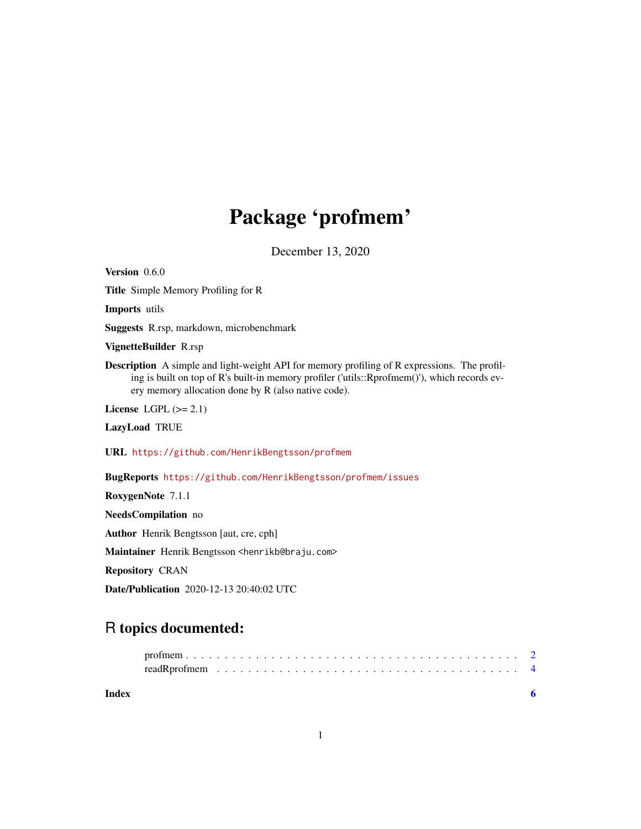## Package 'profmem'

December 13, 2020

<span id="page-0-0"></span>Version 0.6.0 Title Simple Memory Profiling for R Imports utils Suggests R.rsp, markdown, microbenchmark VignetteBuilder R.rsp Description A simple and light-weight API for memory profiling of R expressions. The profiling is built on top of R's built-in memory profiler ('utils::Rprofmem()'), which records every memory allocation done by R (also native code). License LGPL  $(>= 2.1)$ LazyLoad TRUE URL <https://github.com/HenrikBengtsson/profmem> BugReports <https://github.com/HenrikBengtsson/profmem/issues> RoxygenNote 7.1.1 NeedsCompilation no Author Henrik Bengtsson [aut, cre, cph] Maintainer Henrik Bengtsson <henrikb@braju.com>

Repository CRAN

Date/Publication 2020-12-13 20:40:02 UTC

### R topics documented:

| Index |  |  |  |  |  |  |  |  |  |  |  |  |  |  |  |  |  |  |
|-------|--|--|--|--|--|--|--|--|--|--|--|--|--|--|--|--|--|--|
|       |  |  |  |  |  |  |  |  |  |  |  |  |  |  |  |  |  |  |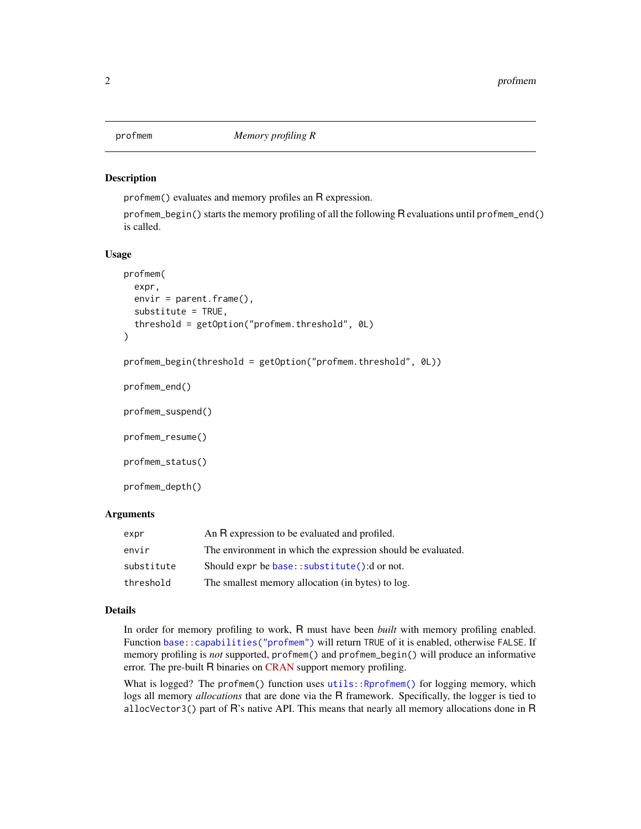<span id="page-1-0"></span>

#### Description

profmem() evaluates and memory profiles an R expression.

profmem\_begin() starts the memory profiling of all the following R evaluations until profmem\_end() is called.

#### Usage

```
profmem(
  expr,
  envir = parent.frame(),
  substitute = TRUE,
  threshold = getOption("profmem.threshold", 0L)
)
```

```
profmem_begin(threshold = getOption("profmem.threshold", 0L))
```

```
profmem_end()
```
profmem\_suspend()

profmem\_resume()

profmem\_status()

profmem\_depth()

#### Arguments

| expr       | An R expression to be evaluated and profiled.                |
|------------|--------------------------------------------------------------|
| envir      | The environment in which the expression should be evaluated. |
| substitute | Should expr be base:: substitute(): d or not.                |
| threshold  | The smallest memory allocation (in bytes) to log.            |

#### Details

In order for memory profiling to work, R must have been *built* with memory profiling enabled. Function [base::capabilities\("profmem"\)](#page-0-0) will return TRUE of it is enabled, otherwise FALSE. If memory profiling is *not* supported, profmem() and profmem\_begin() will produce an informative error. The pre-built R binaries on [CRAN](https://cran.r-project.org/) support memory profiling.

What is logged? The profmem() function uses [utils::Rprofmem\(\)](#page-0-0) for logging memory, which logs all memory *allocations* that are done via the R framework. Specifically, the logger is tied to allocVector3() part of R's native API. This means that nearly all memory allocations done in R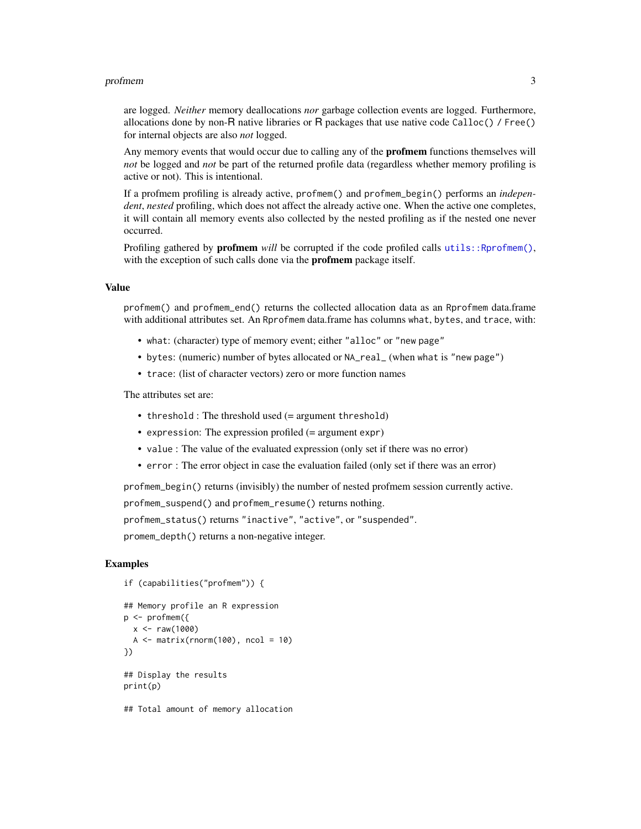#### profmem 3

are logged. *Neither* memory deallocations *nor* garbage collection events are logged. Furthermore, allocations done by non-R native libraries or R packages that use native code Calloc() / Free() for internal objects are also *not* logged.

Any memory events that would occur due to calling any of the **profmem** functions themselves will *not* be logged and *not* be part of the returned profile data (regardless whether memory profiling is active or not). This is intentional.

If a profmem profiling is already active, profmem() and profmem\_begin() performs an *independent*, *nested* profiling, which does not affect the already active one. When the active one completes, it will contain all memory events also collected by the nested profiling as if the nested one never occurred.

Profiling gathered by **profmem** will be corrupted if the code profiled calls [utils::Rprofmem\(\)](#page-0-0), with the exception of such calls done via the **profmem** package itself.

#### Value

profmem() and profmem\_end() returns the collected allocation data as an Rprofmem data.frame with additional attributes set. An Rprofmem data.frame has columns what, bytes, and trace, with:

- what: (character) type of memory event; either "alloc" or "new page"
- bytes: (numeric) number of bytes allocated or NA\_real\_ (when what is "new page")
- trace: (list of character vectors) zero or more function names

The attributes set are:

- threshold: The threshold used (= argument threshold)
- expression: The expression profiled (= argument expr)
- value : The value of the evaluated expression (only set if there was no error)
- error : The error object in case the evaluation failed (only set if there was an error)

profmem\_begin() returns (invisibly) the number of nested profmem session currently active.

profmem\_suspend() and profmem\_resume() returns nothing.

profmem\_status() returns "inactive", "active", or "suspended".

promem\_depth() returns a non-negative integer.

#### Examples

```
if (capabilities("profmem")) {
```

```
## Memory profile an R expression
p <- profmem({
 x < -raw(1000)A \leftarrow matrix(rnorm(100), ncol = 10)})
## Display the results
print(p)
```
## Total amount of memory allocation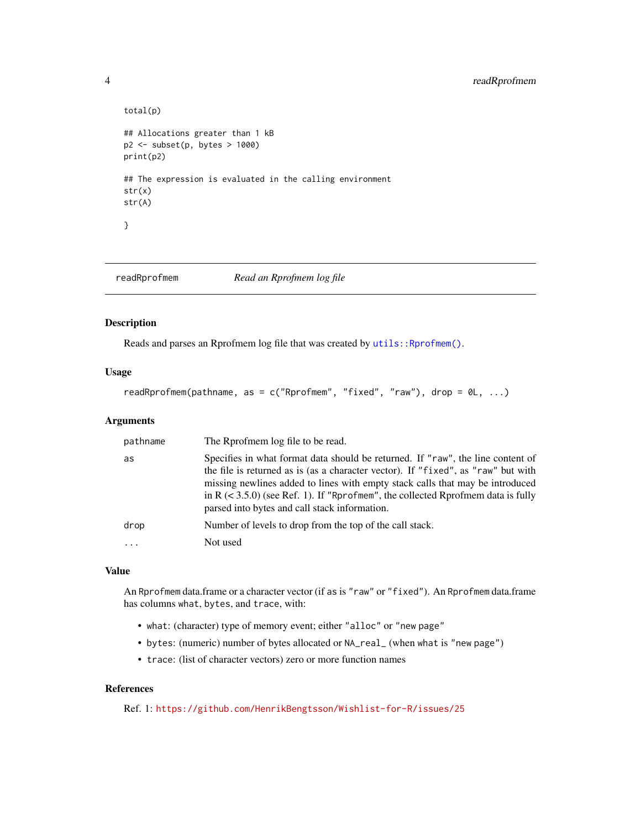#### <span id="page-3-0"></span>4 readRprofmem

```
total(p)
## Allocations greater than 1 kB
p2 <- subset(p, bytes > 1000)
print(p2)
## The expression is evaluated in the calling environment
str(x)
str(A)
}
```
readRprofmem *Read an Rprofmem log file*

#### Description

Reads and parses an Rprofmem log file that was created by utils:: Rprofmem().

#### Usage

```
readRprofmem(pathname, as = c("Rprofmem", "fixed", "raw"), drop = 0L, ...)
```
#### Arguments

| pathname | The Rprofmem log file to be read.                                                                                                                                                                                                                                                                                                                                                               |
|----------|-------------------------------------------------------------------------------------------------------------------------------------------------------------------------------------------------------------------------------------------------------------------------------------------------------------------------------------------------------------------------------------------------|
| as       | Specifies in what format data should be returned. If "raw", the line content of<br>the file is returned as is (as a character vector). If "fixed", as "raw" but with<br>missing newlines added to lines with empty stack calls that may be introduced<br>in $R \leq 3.5.0$ ) (see Ref. 1). If "Rprofmem", the collected Rprofmem data is fully<br>parsed into bytes and call stack information. |
| drop     | Number of levels to drop from the top of the call stack.                                                                                                                                                                                                                                                                                                                                        |
|          | Not used                                                                                                                                                                                                                                                                                                                                                                                        |

#### Value

An Rprofmem data.frame or a character vector (if as is "raw" or "fixed"). An Rprofmem data.frame has columns what, bytes, and trace, with:

- what: (character) type of memory event; either "alloc" or "new page"
- bytes: (numeric) number of bytes allocated or NA\_real\_ (when what is "new page")
- trace: (list of character vectors) zero or more function names

#### References

Ref. 1: <https://github.com/HenrikBengtsson/Wishlist-for-R/issues/25>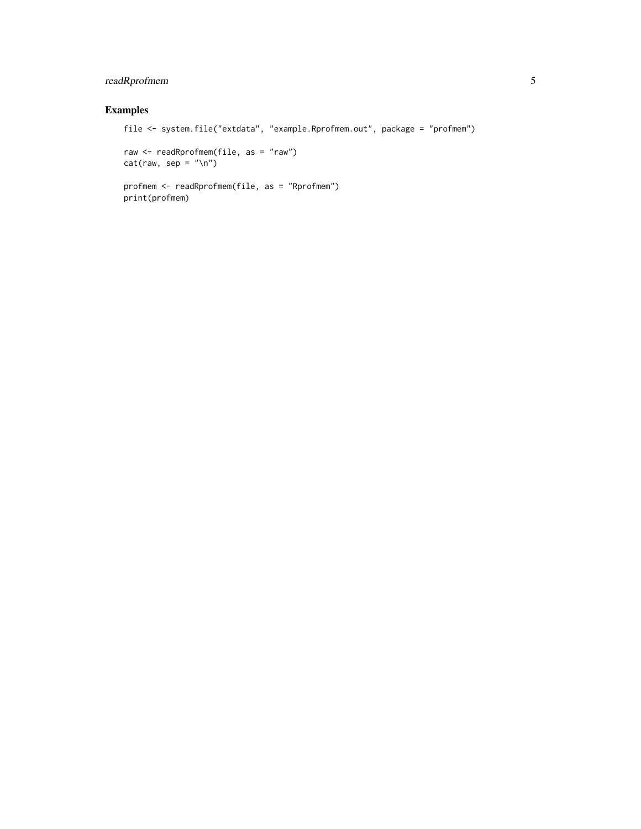#### readRprofmem 5

#### Examples

```
file <- system.file("extdata", "example.Rprofmem.out", package = "profmem")
raw <- readRprofmem(file, as = "raw")
```

```
cat(raw, sep = "n")
```

```
profmem <- readRprofmem(file, as = "Rprofmem")
print(profmem)
```